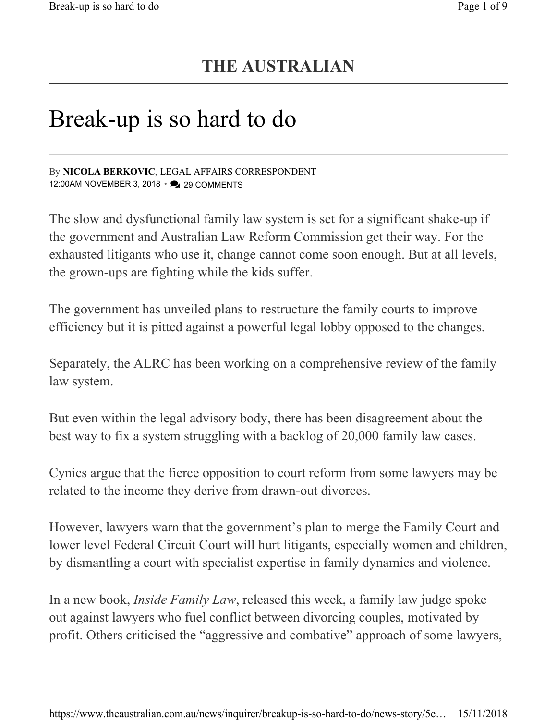## THE AUSTRALIAN

## Break-up is so hard to do

By NICOLA BERKOVIC, LEGAL AFFAIRS CORRESPONDENT 12:00AM NOVEMBER 3, 2018 • 29 COMMENTS

The slow and dysfunctional family law system is set for a significant shake-up if the government and Australian Law Reform Commission get their way. For the exhausted litigants who use it, change cannot come soon enough. But at all levels, the grown-ups are fighting while the kids suffer.

The government has unveiled plans to restructure the family courts to improve efficiency but it is pitted against a powerful legal lobby opposed to the changes.

Separately, the ALRC has been working on a comprehensive review of the family law system.

But even within the legal advisory body, there has been disagreement about the best way to fix a system struggling with a backlog of 20,000 family law cases.

Cynics argue that the fierce opposition to court reform from some lawyers may be related to the income they derive from drawn-out divorces.

However, lawyers warn that the government's plan to merge the Family Court and lower level Federal Circuit Court will hurt litigants, especially women and children, by dismantling a court with specialist expertise in family dynamics and violence.

In a new book, Inside Family Law, released this week, a family law judge spoke out against lawyers who fuel conflict between divorcing couples, motivated by profit. Others criticised the "aggressive and combative" approach of some lawyers,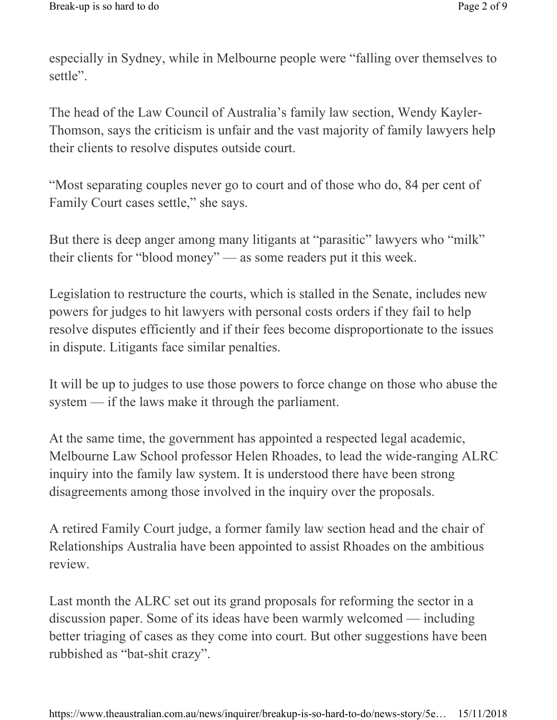especially in Sydney, while in Melbourne people were "falling over themselves to settle".

The head of the Law Council of Australia's family law section, Wendy Kayler-Thomson, says the criticism is unfair and the vast majority of family lawyers help their clients to resolve disputes outside court.

"Most separating couples never go to court and of those who do, 84 per cent of Family Court cases settle," she says.

But there is deep anger among many litigants at "parasitic" lawyers who "milk" their clients for "blood money" — as some readers put it this week.

Legislation to restructure the courts, which is stalled in the Senate, includes new powers for judges to hit lawyers with personal costs orders if they fail to help resolve disputes efficiently and if their fees become disproportionate to the issues in dispute. Litigants face similar penalties.

It will be up to judges to use those powers to force change on those who abuse the system — if the laws make it through the parliament.

At the same time, the government has appointed a respected legal academic, Melbourne Law School professor Helen Rhoades, to lead the wide-ranging ALRC inquiry into the family law system. It is understood there have been strong disagreements among those involved in the inquiry over the proposals.

A retired Family Court judge, a former family law section head and the chair of Relationships Australia have been appointed to assist Rhoades on the ambitious review.

Last month the ALRC set out its grand proposals for reforming the sector in a discussion paper. Some of its ideas have been warmly welcomed — including better triaging of cases as they come into court. But other suggestions have been rubbished as "bat-shit crazy".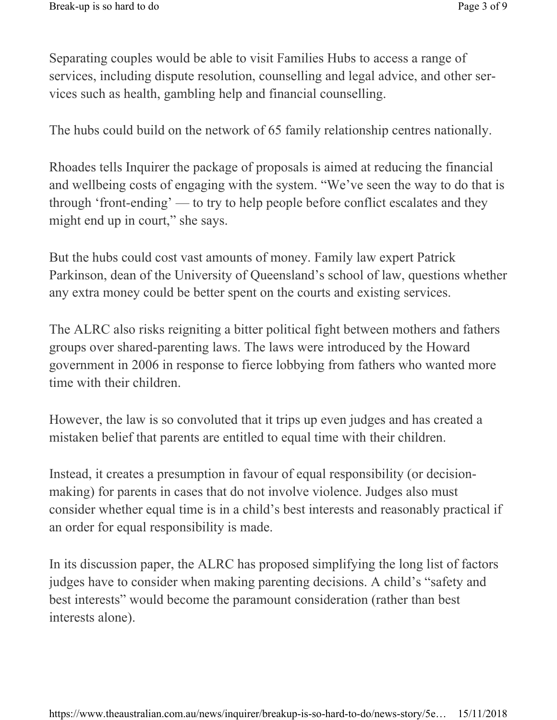Separating couples would be able to visit Families Hubs to access a range of services, including dispute resolution, counselling and legal advice, and other services such as health, gambling help and financial counselling.

The hubs could build on the network of 65 family relationship centres nationally.

Rhoades tells Inquirer the package of proposals is aimed at reducing the financial and wellbeing costs of engaging with the system. "We've seen the way to do that is through 'front-ending' — to try to help people before conflict escalates and they might end up in court," she says.

But the hubs could cost vast amounts of money. Family law expert Patrick Parkinson, dean of the University of Queensland's school of law, questions whether any extra money could be better spent on the courts and existing services.

The ALRC also risks reigniting a bitter political fight between mothers and fathers groups over shared-parenting laws. The laws were introduced by the Howard government in 2006 in response to fierce lobbying from fathers who wanted more time with their children.

However, the law is so convoluted that it trips up even judges and has created a mistaken belief that parents are entitled to equal time with their children.

Instead, it creates a presumption in favour of equal responsibility (or decisionmaking) for parents in cases that do not involve violence. Judges also must consider whether equal time is in a child's best interests and reasonably practical if an order for equal responsibility is made.

In its discussion paper, the ALRC has proposed simplifying the long list of factors judges have to consider when making parenting decisions. A child's "safety and best interests" would become the paramount consideration (rather than best interests alone).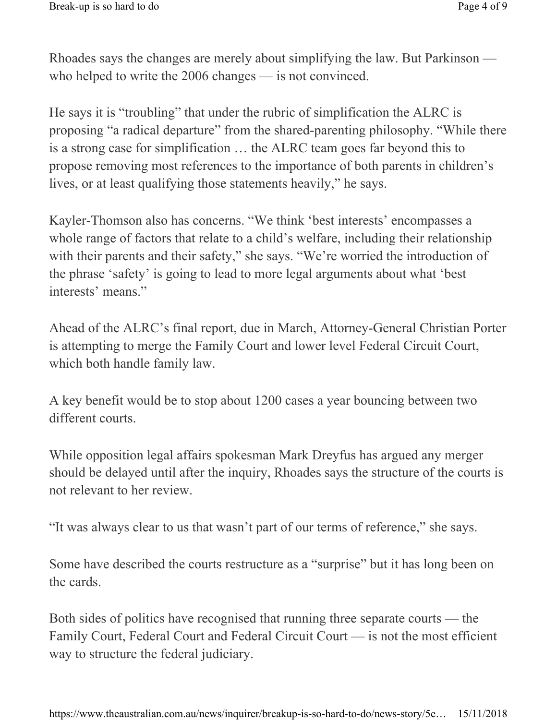Rhoades says the changes are merely about simplifying the law. But Parkinson who helped to write the 2006 changes — is not convinced.

He says it is "troubling" that under the rubric of simplification the ALRC is proposing "a radical departure" from the shared-parenting philosophy. "While there is a strong case for simplification … the ALRC team goes far beyond this to propose removing most references to the importance of both parents in children's lives, or at least qualifying those statements heavily," he says.

Kayler-Thomson also has concerns. "We think 'best interests' encompasses a whole range of factors that relate to a child's welfare, including their relationship with their parents and their safety," she says. "We're worried the introduction of the phrase 'safety' is going to lead to more legal arguments about what 'best interests' means."

Ahead of the ALRC's final report, due in March, Attorney-General Christian Porter is attempting to merge the Family Court and lower level Federal Circuit Court, which both handle family law.

A key benefit would be to stop about 1200 cases a year bouncing between two different courts.

While opposition legal affairs spokesman Mark Dreyfus has argued any merger should be delayed until after the inquiry, Rhoades says the structure of the courts is not relevant to her review.

"It was always clear to us that wasn't part of our terms of reference," she says.

Some have described the courts restructure as a "surprise" but it has long been on the cards.

Both sides of politics have recognised that running three separate courts — the Family Court, Federal Court and Federal Circuit Court — is not the most efficient way to structure the federal judiciary.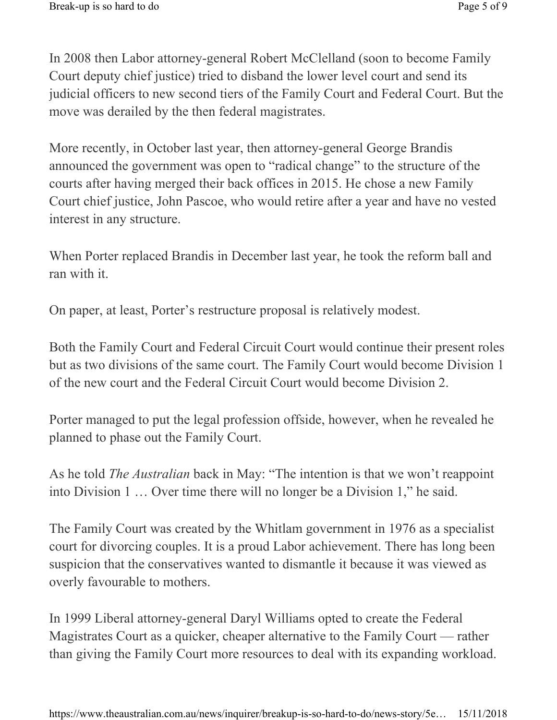In 2008 then Labor attorney-general Robert McClelland (soon to become Family Court deputy chief justice) tried to disband the lower level court and send its judicial officers to new second tiers of the Family Court and Federal Court. But the move was derailed by the then federal magistrates.

More recently, in October last year, then attorney-general George Brandis announced the government was open to "radical change" to the structure of the courts after having merged their back offices in 2015. He chose a new Family Court chief justice, John Pascoe, who would retire after a year and have no vested interest in any structure.

When Porter replaced Brandis in December last year, he took the reform ball and ran with it.

On paper, at least, Porter's restructure proposal is relatively modest.

Both the Family Court and Federal Circuit Court would continue their present roles but as two divisions of the same court. The Family Court would become Division 1 of the new court and the Federal Circuit Court would become Division 2.

Porter managed to put the legal profession offside, however, when he revealed he planned to phase out the Family Court.

As he told *The Australian* back in May: "The intention is that we won't reappoint into Division 1 … Over time there will no longer be a Division 1," he said.

The Family Court was created by the Whitlam government in 1976 as a specialist court for divorcing couples. It is a proud Labor achievement. There has long been suspicion that the conservatives wanted to dismantle it because it was viewed as overly favourable to mothers.

In 1999 Liberal attorney-general Daryl Williams opted to create the Federal Magistrates Court as a quicker, cheaper alternative to the Family Court — rather than giving the Family Court more resources to deal with its expanding workload.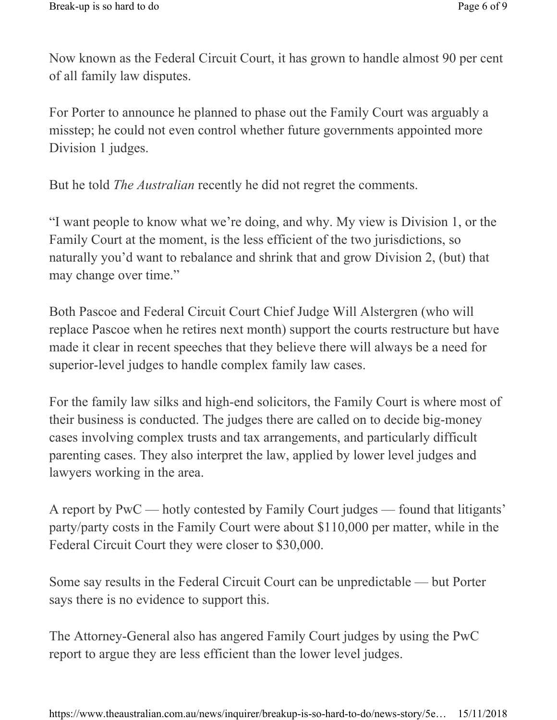Now known as the Federal Circuit Court, it has grown to handle almost 90 per cent of all family law disputes.

For Porter to announce he planned to phase out the Family Court was arguably a misstep; he could not even control whether future governments appointed more Division 1 judges.

But he told The Australian recently he did not regret the comments.

"I want people to know what we're doing, and why. My view is Division 1, or the Family Court at the moment, is the less efficient of the two jurisdictions, so naturally you'd want to rebalance and shrink that and grow Division 2, (but) that may change over time."

Both Pascoe and Federal Circuit Court Chief Judge Will Alstergren (who will replace Pascoe when he retires next month) support the courts restructure but have made it clear in recent speeches that they believe there will always be a need for superior-level judges to handle complex family law cases.

For the family law silks and high-end solicitors, the Family Court is where most of their business is conducted. The judges there are called on to decide big-money cases involving complex trusts and tax arrangements, and particularly difficult parenting cases. They also interpret the law, applied by lower level judges and lawyers working in the area.

A report by PwC — hotly contested by Family Court judges — found that litigants' party/party costs in the Family Court were about \$110,000 per matter, while in the Federal Circuit Court they were closer to \$30,000.

Some say results in the Federal Circuit Court can be unpredictable — but Porter says there is no evidence to support this.

The Attorney-General also has angered Family Court judges by using the PwC report to argue they are less efficient than the lower level judges.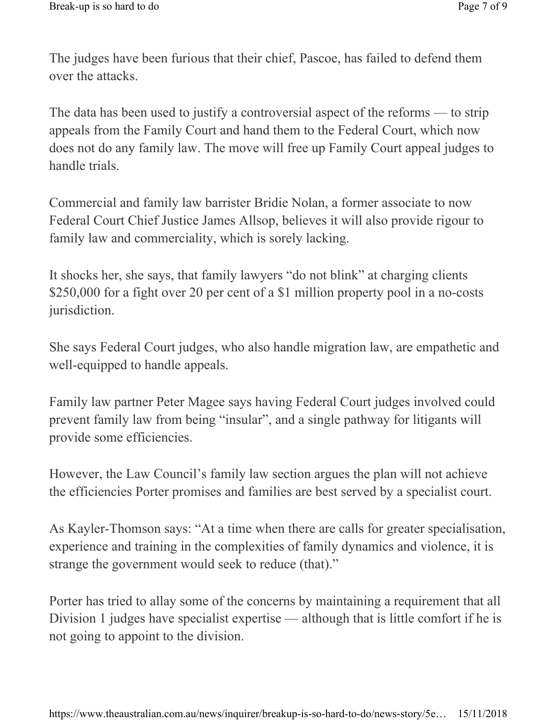The judges have been furious that their chief, Pascoe, has failed to defend them over the attacks.

The data has been used to justify a controversial aspect of the reforms — to strip appeals from the Family Court and hand them to the Federal Court, which now does not do any family law. The move will free up Family Court appeal judges to handle trials.

Commercial and family law barrister Bridie Nolan, a former associate to now Federal Court Chief Justice James Allsop, believes it will also provide rigour to family law and commerciality, which is sorely lacking.

It shocks her, she says, that family lawyers "do not blink" at charging clients \$250,000 for a fight over 20 per cent of a \$1 million property pool in a no-costs jurisdiction.

She says Federal Court judges, who also handle migration law, are empathetic and well-equipped to handle appeals.

Family law partner Peter Magee says having Federal Court judges involved could prevent family law from being "insular", and a single pathway for litigants will provide some efficiencies.

However, the Law Council's family law section argues the plan will not achieve the efficiencies Porter promises and families are best served by a specialist court.

As Kayler-Thomson says: "At a time when there are calls for greater specialisation, experience and training in the complexities of family dynamics and violence, it is strange the government would seek to reduce (that)."

Porter has tried to allay some of the concerns by maintaining a requirement that all Division 1 judges have specialist expertise — although that is little comfort if he is not going to appoint to the division.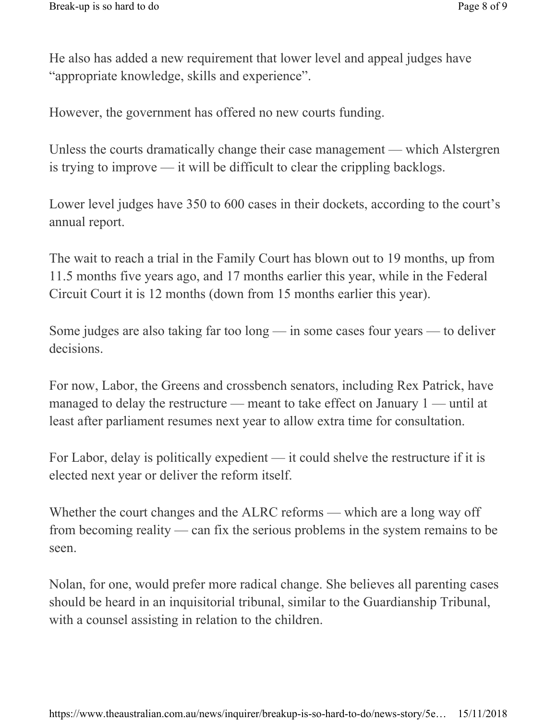He also has added a new requirement that lower level and appeal judges have "appropriate knowledge, skills and experience".

However, the government has offered no new courts funding.

Unless the courts dramatically change their case management — which Alstergren is trying to improve — it will be difficult to clear the crippling backlogs.

Lower level judges have 350 to 600 cases in their dockets, according to the court's annual report.

The wait to reach a trial in the Family Court has blown out to 19 months, up from 11.5 months five years ago, and 17 months earlier this year, while in the Federal Circuit Court it is 12 months (down from 15 months earlier this year).

Some judges are also taking far too long — in some cases four years — to deliver decisions.

For now, Labor, the Greens and crossbench senators, including Rex Patrick, have managed to delay the restructure — meant to take effect on January 1 — until at least after parliament resumes next year to allow extra time for consultation.

For Labor, delay is politically expedient — it could shelve the restructure if it is elected next year or deliver the reform itself.

Whether the court changes and the ALRC reforms — which are a long way off from becoming reality — can fix the serious problems in the system remains to be seen.

Nolan, for one, would prefer more radical change. She believes all parenting cases should be heard in an inquisitorial tribunal, similar to the Guardianship Tribunal, with a counsel assisting in relation to the children.